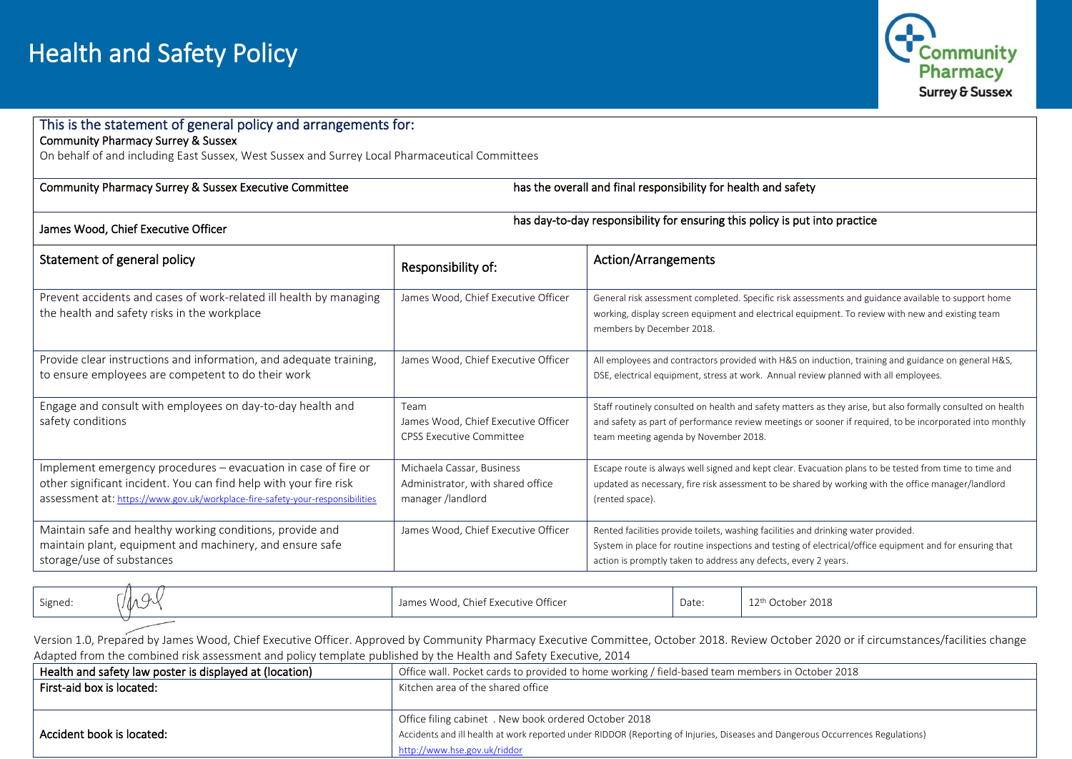

## This is the statement of general policy and arrangements for: Community Pharmacy Surrey & Sussex On behalf of and including East Sussex, West Sussex and Surrey Local Pharmaceutical Committees  $\overline{\phantom{0}}$ Community Pharmacy Surrey & Sussex Executive Committee has the overall and final responsibility for health and safety James Wood, Chief Executive Officer has day-to-day responsibility for ensuring this policy is put into practice Statement of general policy Responsibility of: Action/Arrangements Prevent accidents and cases of work-related ill health by managing the health and safety risks in the workplace James Wood, Chief Executive Officer | General risk assessment completed. Specific risk assessments and guidance available to support home working, display screen equipment and electrical equipment. To review with new and existing team members by December 2018. Provide clear instructions and information, and adequate training, to ensure employees are competent to do their work James Wood, Chief Executive Officer | All employees and contractors provided with H&S on induction, training and guidance on general H&S, DSE, electrical equipment, stress at work. Annual review planned with all employees. Engage and consult with employees on day-to-day health and safety conditions Team James Wood, Chief Executive Officer CPSS Executive Committee Staff routinely consulted on health and safety matters as they arise, but also formally consulted on health and safety as part of performance review meetings or sooner if required, to be incorporated into monthly team meeting agenda by November 2018. Implement emergency procedures – evacuation in case of fire or other significant incident. You can find help with your fire risk assessment at: <https://www.gov.uk/workplace-fire-safety-your-responsibilities> Michaela Cassar, Business Administrator, with shared office manager /landlord Escape route is always well signed and kept clear. Evacuation plans to be tested from time to time and updated as necessary, fire risk assessment to be shared by working with the office manager/landlord (rented space). Maintain safe and healthy working conditions, provide and maintain plant, equipment and machinery, and ensure safe storage/use of substances James Wood, Chief Executive Officer  $\|\cdot\|$  Rented facilities provide toilets, washing facilities and drinking water provided. System in place for routine inspections and testing of electrical/office equipment and for ensuring that action is promptly taken to address any defects, every 2 years.

Signed:  $\int_{\mathcal{A}} \mathcal{A} \mathcal{A}$  / James Wood, Chief Executive Officer Date: 12<sup>th</sup> October 2018

 Version 1.0, Prepared by James Wood, Chief Executive Officer. Approved by Community Pharmacy Executive Committee, October 2018. Review October 2020 or if circumstances/facilities change Adapted from the combined risk assessment and policy template published by the Health and Safety Executive, 2014

| Health and safety law poster is displayed at (location) | Office wall. Pocket cards to provided to home working / field-based team members in October 2018                               |
|---------------------------------------------------------|--------------------------------------------------------------------------------------------------------------------------------|
| First-aid box is located:                               | Kitchen area of the shared office                                                                                              |
|                                                         |                                                                                                                                |
|                                                         | Office filing cabinet . New book ordered October 2018                                                                          |
| Accident book is located:                               | Accidents and ill health at work reported under RIDDOR (Reporting of Injuries, Diseases and Dangerous Occurrences Regulations) |
|                                                         | http://www.hse.gov.uk/riddor                                                                                                   |